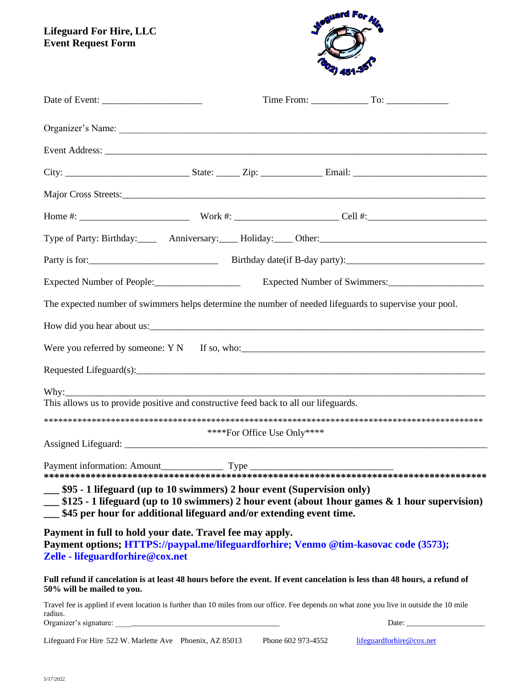**Lifeguard For Hire, LLC Event Request Form**



| Expected Number of People:___________________                                                                                                                                                                                                                                                                                                                                                                                                                                                        |                             |  | Expected Number of Swimmers: |
|------------------------------------------------------------------------------------------------------------------------------------------------------------------------------------------------------------------------------------------------------------------------------------------------------------------------------------------------------------------------------------------------------------------------------------------------------------------------------------------------------|-----------------------------|--|------------------------------|
| The expected number of swimmers helps determine the number of needed lifeguards to supervise your pool.                                                                                                                                                                                                                                                                                                                                                                                              |                             |  |                              |
| How did you hear about us:                                                                                                                                                                                                                                                                                                                                                                                                                                                                           |                             |  |                              |
|                                                                                                                                                                                                                                                                                                                                                                                                                                                                                                      |                             |  |                              |
|                                                                                                                                                                                                                                                                                                                                                                                                                                                                                                      |                             |  |                              |
| Why: $\frac{1}{2}$<br>This allows us to provide positive and constructive feed back to all our lifeguards.                                                                                                                                                                                                                                                                                                                                                                                           |                             |  |                              |
|                                                                                                                                                                                                                                                                                                                                                                                                                                                                                                      | ****For Office Use Only**** |  |                              |
|                                                                                                                                                                                                                                                                                                                                                                                                                                                                                                      |                             |  |                              |
| $\begin{minipage}{0.33\textwidth} \begin{minipage}{0.93\textwidth} \begin{minipage}{0.93\textwidth} \begin{minipage}{0.93\textwidth} \begin{minipage}{0.93\textwidth} \begin{minipage}{0.93\textwidth} \begin{minipage}{0.93\textwidth} \begin{minipage}{0.93\textwidth} \begin{minipage}{0.93\textwidth} \begin{minipage}{0.93\textwidth} \begin{minipage}{0.93\textwidth} \begin{minipage}{0.93\textwidth} \begin{minipage}{0.93\textwidth} \begin{minipage}{0.93\textwidth} \begin{minipage}{0.9$ |                             |  |                              |
| __ \$95 - 1 lifeguard (up to 10 swimmers) 2 hour event (Supervision only)<br>__ \$125 - 1 lifeguard (up to 10 swimmers) 2 hour event (about 1 hour games & 1 hour supervision)<br>__ \$45 per hour for additional lifeguard and/or extending event time.                                                                                                                                                                                                                                             |                             |  |                              |
| Payment in full to hold your date. Travel fee may apply.<br>Payment options; HTTPS://paypal.me/lifeguardforhire; Venmo @tim-kasovac code (3573);<br>Zelle - lifeguardforhire@cox.net                                                                                                                                                                                                                                                                                                                 |                             |  |                              |
| Full refund if cancelation is at least 48 hours before the event. If event cancelation is less than 48 hours, a refund of<br>50% will be mailed to you.                                                                                                                                                                                                                                                                                                                                              |                             |  |                              |
| Travel fee is applied if event location is further than 10 miles from our office. Fee depends on what zone you live in outside the 10 mile<br>radius.<br>Organizer's signature:                                                                                                                                                                                                                                                                                                                      |                             |  |                              |